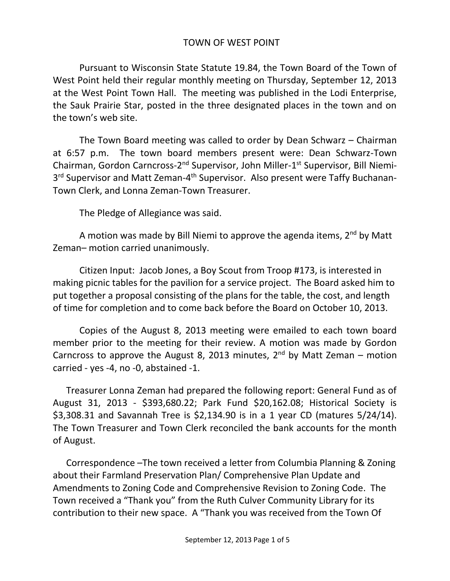## TOWN OF WEST POINT

Pursuant to Wisconsin State Statute 19.84, the Town Board of the Town of West Point held their regular monthly meeting on Thursday, September 12, 2013 at the West Point Town Hall. The meeting was published in the Lodi Enterprise, the Sauk Prairie Star, posted in the three designated places in the town and on the town's web site.

The Town Board meeting was called to order by Dean Schwarz – Chairman at 6:57 p.m. The town board members present were: Dean Schwarz-Town Chairman, Gordon Carncross-2<sup>nd</sup> Supervisor, John Miller-1<sup>st</sup> Supervisor, Bill Niemi-3<sup>rd</sup> Supervisor and Matt Zeman-4<sup>th</sup> Supervisor. Also present were Taffy Buchanan-Town Clerk, and Lonna Zeman-Town Treasurer.

The Pledge of Allegiance was said.

A motion was made by Bill Niemi to approve the agenda items,  $2^{nd}$  by Matt Zeman– motion carried unanimously.

Citizen Input: Jacob Jones, a Boy Scout from Troop #173, is interested in making picnic tables for the pavilion for a service project. The Board asked him to put together a proposal consisting of the plans for the table, the cost, and length of time for completion and to come back before the Board on October 10, 2013.

Copies of the August 8, 2013 meeting were emailed to each town board member prior to the meeting for their review. A motion was made by Gordon Carncross to approve the August 8, 2013 minutes,  $2^{nd}$  by Matt Zeman – motion carried - yes -4, no -0, abstained -1.

Treasurer Lonna Zeman had prepared the following report: General Fund as of August 31, 2013 - \$393,680.22; Park Fund \$20,162.08; Historical Society is \$3,308.31 and Savannah Tree is \$2,134.90 is in a 1 year CD (matures 5/24/14). The Town Treasurer and Town Clerk reconciled the bank accounts for the month of August.

Correspondence –The town received a letter from Columbia Planning & Zoning about their Farmland Preservation Plan/ Comprehensive Plan Update and Amendments to Zoning Code and Comprehensive Revision to Zoning Code. The Town received a "Thank you" from the Ruth Culver Community Library for its contribution to their new space. A "Thank you was received from the Town Of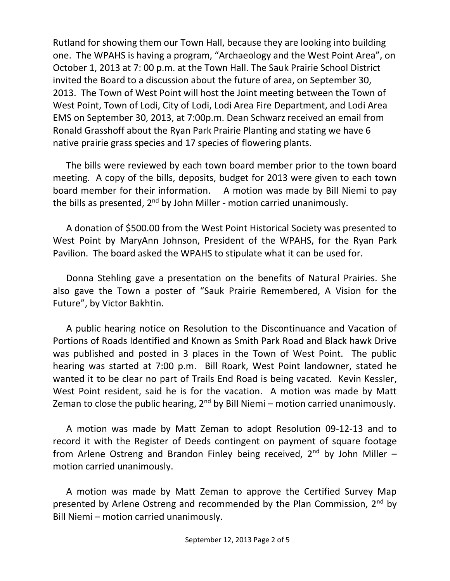Rutland for showing them our Town Hall, because they are looking into building one. The WPAHS is having a program, "Archaeology and the West Point Area", on October 1, 2013 at 7: 00 p.m. at the Town Hall. The Sauk Prairie School District invited the Board to a discussion about the future of area, on September 30, 2013. The Town of West Point will host the Joint meeting between the Town of West Point, Town of Lodi, City of Lodi, Lodi Area Fire Department, and Lodi Area EMS on September 30, 2013, at 7:00p.m. Dean Schwarz received an email from Ronald Grasshoff about the Ryan Park Prairie Planting and stating we have 6 native prairie grass species and 17 species of flowering plants.

The bills were reviewed by each town board member prior to the town board meeting. A copy of the bills, deposits, budget for 2013 were given to each town board member for their information. A motion was made by Bill Niemi to pay the bills as presented, 2<sup>nd</sup> by John Miller - motion carried unanimously.

A donation of \$500.00 from the West Point Historical Society was presented to West Point by MaryAnn Johnson, President of the WPAHS, for the Ryan Park Pavilion. The board asked the WPAHS to stipulate what it can be used for.

Donna Stehling gave a presentation on the benefits of Natural Prairies. She also gave the Town a poster of "Sauk Prairie Remembered, A Vision for the Future", by Victor Bakhtin.

A public hearing notice on Resolution to the Discontinuance and Vacation of Portions of Roads Identified and Known as Smith Park Road and Black hawk Drive was published and posted in 3 places in the Town of West Point. The public hearing was started at 7:00 p.m. Bill Roark, West Point landowner, stated he wanted it to be clear no part of Trails End Road is being vacated. Kevin Kessler, West Point resident, said he is for the vacation. A motion was made by Matt Zeman to close the public hearing,  $2^{nd}$  by Bill Niemi – motion carried unanimously.

A motion was made by Matt Zeman to adopt Resolution 09-12-13 and to record it with the Register of Deeds contingent on payment of square footage from Arlene Ostreng and Brandon Finley being received,  $2^{nd}$  by John Miller – motion carried unanimously.

A motion was made by Matt Zeman to approve the Certified Survey Map presented by Arlene Ostreng and recommended by the Plan Commission, 2<sup>nd</sup> by Bill Niemi – motion carried unanimously.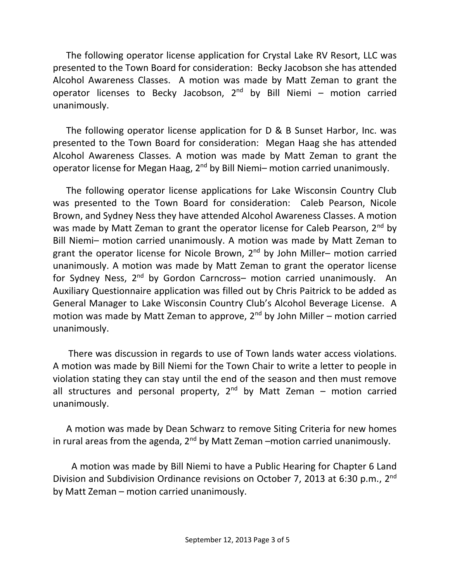The following operator license application for Crystal Lake RV Resort, LLC was presented to the Town Board for consideration: Becky Jacobson she has attended Alcohol Awareness Classes. A motion was made by Matt Zeman to grant the operator licenses to Becky Jacobson,  $2^{nd}$  by Bill Niemi – motion carried unanimously.

The following operator license application for D & B Sunset Harbor, Inc. was presented to the Town Board for consideration: Megan Haag she has attended Alcohol Awareness Classes. A motion was made by Matt Zeman to grant the operator license for Megan Haag, 2<sup>nd</sup> by Bill Niemi- motion carried unanimously.

The following operator license applications for Lake Wisconsin Country Club was presented to the Town Board for consideration: Caleb Pearson, Nicole Brown, and Sydney Ness they have attended Alcohol Awareness Classes. A motion was made by Matt Zeman to grant the operator license for Caleb Pearson, 2<sup>nd</sup> by Bill Niemi– motion carried unanimously. A motion was made by Matt Zeman to grant the operator license for Nicole Brown,  $2<sup>nd</sup>$  by John Miller– motion carried unanimously. A motion was made by Matt Zeman to grant the operator license for Sydney Ness, 2<sup>nd</sup> by Gordon Carncross– motion carried unanimously. An Auxiliary Questionnaire application was filled out by Chris Paitrick to be added as General Manager to Lake Wisconsin Country Club's Alcohol Beverage License. A motion was made by Matt Zeman to approve,  $2^{nd}$  by John Miller – motion carried unanimously.

There was discussion in regards to use of Town lands water access violations. A motion was made by Bill Niemi for the Town Chair to write a letter to people in violation stating they can stay until the end of the season and then must remove all structures and personal property, 2<sup>nd</sup> by Matt Zeman – motion carried unanimously.

A motion was made by Dean Schwarz to remove Siting Criteria for new homes in rural areas from the agenda,  $2^{nd}$  by Matt Zeman –motion carried unanimously.

 A motion was made by Bill Niemi to have a Public Hearing for Chapter 6 Land Division and Subdivision Ordinance revisions on October 7, 2013 at 6:30 p.m., 2<sup>nd</sup> by Matt Zeman – motion carried unanimously.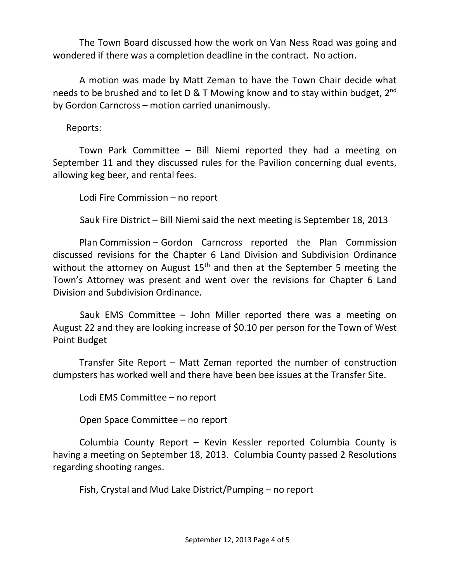The Town Board discussed how the work on Van Ness Road was going and wondered if there was a completion deadline in the contract. No action.

A motion was made by Matt Zeman to have the Town Chair decide what needs to be brushed and to let D & T Mowing know and to stay within budget, 2<sup>nd</sup> by Gordon Carncross – motion carried unanimously.

Reports:

Town Park Committee – Bill Niemi reported they had a meeting on September 11 and they discussed rules for the Pavilion concerning dual events, allowing keg beer, and rental fees.

Lodi Fire Commission – no report

Sauk Fire District – Bill Niemi said the next meeting is September 18, 2013

Plan Commission – Gordon Carncross reported the Plan Commission discussed revisions for the Chapter 6 Land Division and Subdivision Ordinance without the attorney on August  $15<sup>th</sup>$  and then at the September 5 meeting the Town's Attorney was present and went over the revisions for Chapter 6 Land Division and Subdivision Ordinance.

 Sauk EMS Committee – John Miller reported there was a meeting on August 22 and they are looking increase of \$0.10 per person for the Town of West Point Budget

Transfer Site Report – Matt Zeman reported the number of construction dumpsters has worked well and there have been bee issues at the Transfer Site.

Lodi EMS Committee – no report

Open Space Committee – no report

Columbia County Report – Kevin Kessler reported Columbia County is having a meeting on September 18, 2013. Columbia County passed 2 Resolutions regarding shooting ranges.

Fish, Crystal and Mud Lake District/Pumping – no report